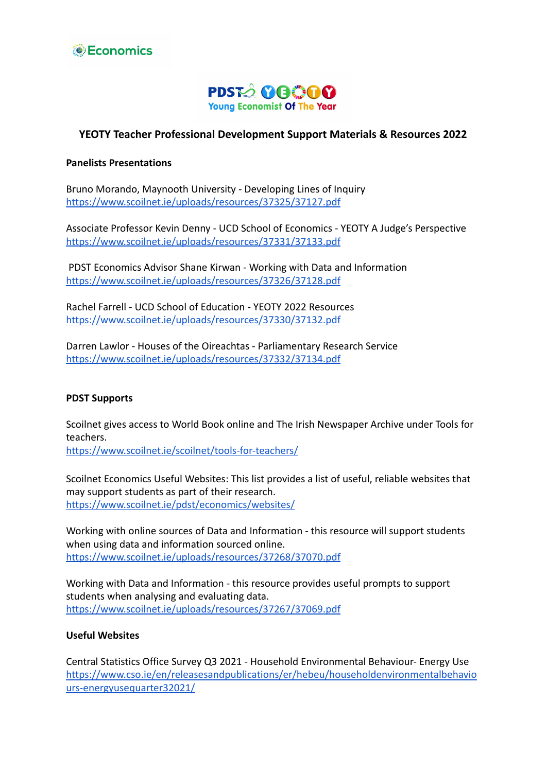



### **YEOTY Teacher Professional Development Support Materials & Resources 2022**

### **Panelists Presentations**

Bruno Morando, Maynooth University - Developing Lines of Inquiry <https://www.scoilnet.ie/uploads/resources/37325/37127.pdf>

Associate Professor Kevin Denny - UCD School of Economics - YEOTY A Judge's Perspective <https://www.scoilnet.ie/uploads/resources/37331/37133.pdf>

PDST Economics Advisor Shane Kirwan - Working with Data and Information <https://www.scoilnet.ie/uploads/resources/37326/37128.pdf>

Rachel Farrell - UCD School of Education - YEOTY 2022 Resources <https://www.scoilnet.ie/uploads/resources/37330/37132.pdf>

Darren Lawlor - Houses of the Oireachtas - Parliamentary Research Service <https://www.scoilnet.ie/uploads/resources/37332/37134.pdf>

### **PDST Supports**

Scoilnet gives access to World Book online and The Irish Newspaper Archive under Tools for teachers.

<https://www.scoilnet.ie/scoilnet/tools-for-teachers/>

Scoilnet Economics Useful Websites: This list provides a list of useful, reliable websites that may support students as part of their research. <https://www.scoilnet.ie/pdst/economics/websites/>

Working with online sources of Data and Information - this resource will support students when using data and information sourced online. <https://www.scoilnet.ie/uploads/resources/37268/37070.pdf>

Working with Data and Information - this resource provides useful prompts to support students when analysing and evaluating data. <https://www.scoilnet.ie/uploads/resources/37267/37069.pdf>

### **Useful Websites**

Central Statistics Office Survey Q3 2021 - Household Environmental Behaviour- Energy Use [https://www.cso.ie/en/releasesandpublications/er/hebeu/householdenvironmentalbehavio](https://www.cso.ie/en/releasesandpublications/er/hebeu/householdenvironmentalbehaviours-energyusequarter32021/) [urs-energyusequarter32021/](https://www.cso.ie/en/releasesandpublications/er/hebeu/householdenvironmentalbehaviours-energyusequarter32021/)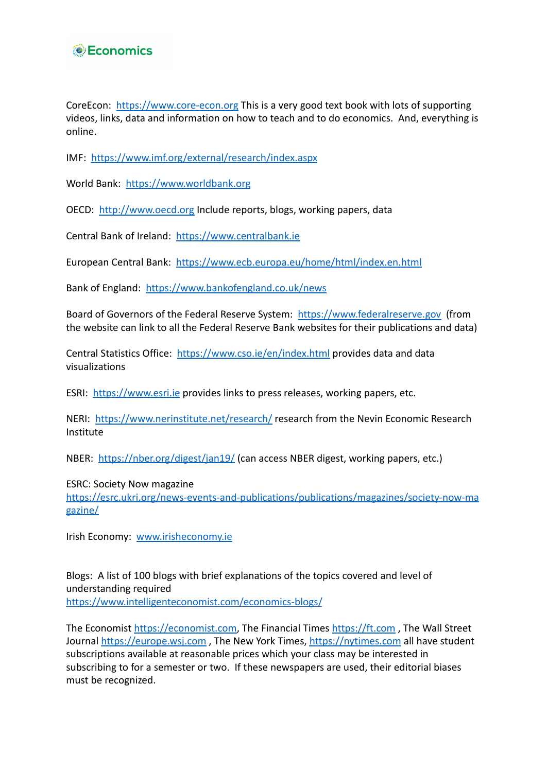## **Economics**

CoreEcon: <https://www.core-econ.org> This is a very good text book with lots of supporting videos, links, data and information on how to teach and to do economics. And, everything is online.

IMF: <https://www.imf.org/external/research/index.aspx>

World Bank: <https://www.worldbank.org>

OECD: <http://www.oecd.org> Include reports, blogs, working papers, data

Central Bank of Ireland: <https://www.centralbank.ie>

European Central Bank: <https://www.ecb.europa.eu/home/html/index.en.html>

Bank of England: <https://www.bankofengland.co.uk/news>

Board of Governors of the Federal Reserve System: <https://www.federalreserve.gov> (from the website can link to all the Federal Reserve Bank websites for their publications and data)

Central Statistics Office: <https://www.cso.ie/en/index.html> provides data and data visualizations

ESRI: <https://www.esri.ie> provides links to press releases, working papers, etc.

NERI: <https://www.nerinstitute.net/research/> research from the Nevin Economic Research Institute

NBER: <https://nber.org/digest/jan19/> (can access NBER digest, working papers, etc.)

ESRC: Society Now magazine

[https://esrc.ukri.org/news-events-and-publications/publications/magazines/society-now-ma](https://esrc.ukri.org/news-events-and-publications/publications/magazines/society-now-magazine/) [gazine/](https://esrc.ukri.org/news-events-and-publications/publications/magazines/society-now-magazine/)

Irish Economy: [www.irisheconomy.ie](http://www.irisheconomy.ie)

Blogs: A list of 100 blogs with brief explanations of the topics covered and level of understanding required

<https://www.intelligenteconomist.com/economics-blogs/>

The Economist <https://economist.com>, The Financial Times <https://ft.com> , The Wall Street Journal <https://europe.wsj.com>, The New York Times, <https://nytimes.com> all have student subscriptions available at reasonable prices which your class may be interested in subscribing to for a semester or two. If these newspapers are used, their editorial biases must be recognized.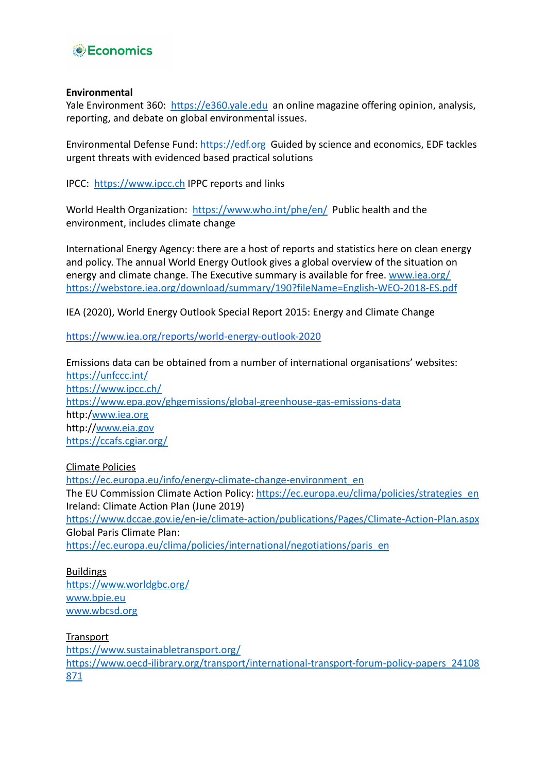

### **Environmental**

Yale Environment 360: <https://e360.yale.edu> an online magazine offering opinion, analysis, reporting, and debate on global environmental issues.

Environmental Defense Fund: <https://edf.org> Guided by science and economics, EDF tackles urgent threats with evidenced based practical solutions

IPCC: <https://www.ipcc.ch> IPPC reports and links

World Health Organization: <https://www.who.int/phe/en/> Public health and the environment, includes climate change

International Energy Agency: there are a host of reports and statistics here on clean energy and policy. The annual World Energy Outlook gives a global overview of the situation on energy and climate change. The Executive summary is available for free. [www.iea.org/](http://www.iea.org/) <https://webstore.iea.org/download/summary/190?fileName=English-WEO-2018-ES.pdf>

IEA (2020), World Energy Outlook Special Report 2015: Energy and Climate Change

<https://www.iea.org/reports/world-energy-outlook-2020>

Emissions data can be obtained from a number of international organisations' websites: <https://unfccc.int/> <https://www.ipcc.ch/> <https://www.epa.gov/ghgemissions/global-greenhouse-gas-emissions-data> http:[/www.iea.org](http://www.iea.org) http://[www.eia.gov](http://www.eia.gov) <https://ccafs.cgiar.org/>

Climate Policies

[https://ec.europa.eu/info/energy-climate-change-environment\\_en](https://ec.europa.eu/info/energy-climate-change-environment_en) The EU Commission Climate Action Policy: [https://ec.europa.eu/clima/policies/strategies\\_en](https://ec.europa.eu/clima/policies/strategies_en) Ireland: Climate Action Plan (June 2019) <https://www.dccae.gov.ie/en-ie/climate-action/publications/Pages/Climate-Action-Plan.aspx> Global Paris Climate Plan: [https://ec.europa.eu/clima/policies/international/negotiations/paris\\_en](https://ec.europa.eu/clima/policies/international/negotiations/paris_en)

Buildings <https://www.worldgbc.org/> [www.bpie.eu](http://www.bpie.eu) [www.wbcsd.org](http://www.wbcsd.org)

**Transport** <https://www.sustainabletransport.org/> [https://www.oecd-ilibrary.org/transport/international-transport-forum-policy-papers\\_24108](https://www.oecd-ilibrary.org/transport/international-transport-forum-policy-papers_24108871) [871](https://www.oecd-ilibrary.org/transport/international-transport-forum-policy-papers_24108871)